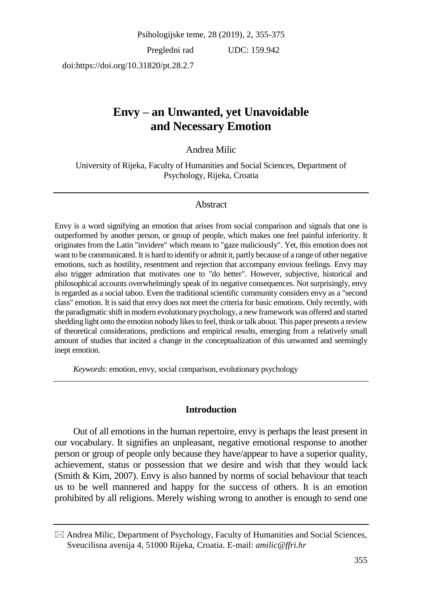Pregledni rad

UDC: 159.942

doi:https://doi.org/10.31820/pt.28.2.7

# **Envy – an Unwanted, yet Unavoidable and Necessary Emotion**

# Andrea Milic

University of Rijeka, Faculty of Humanities and Social Sciences, Department of Psychology, Rijeka, Croatia

## Abstract

Envy is a word signifying an emotion that arises from social comparison and signals that one is outperformed by another person, or group of people, which makes one feel painful inferiority. It originates from the Latin "invidere" which means to "gaze maliciously". Yet, this emotion does not want to be communicated. It is hard to identify or admit it, partly because of a range of other negative emotions, such as hostility, resentment and rejection that accompany envious feelings. Envy may also trigger admiration that motivates one to "do better". However, subjective, historical and philosophical accounts overwhelmingly speak of its negative consequences. Not surprisingly, envy is regarded as a social taboo. Even the traditional scientific community considers envy as a "second class" emotion. It is said that envy does not meet the criteria for basic emotions. Only recently, with the paradigmatic shift in modern evolutionary psychology, a new framework was offered and started shedding light onto the emotion nobody likes to feel, think or talk about. This paper presents a review of theoretical considerations, predictions and empirical results, emerging from a relatively small amount of studies that incited a change in the conceptualization of this unwanted and seemingly inept emotion.

*Keywords*: emotion, envy, social comparison, evolutionary psychology

## **Introduction**

Out of all emotions in the human repertoire, envy is perhaps the least present in our vocabulary. It signifies an unpleasant, negative emotional response to another person or group of people only because they have/appear to have a superior quality, achievement, status or possession that we desire and wish that they would lack (Smith & Kim, 2007). Envy is also banned by norms of social behaviour that teach us to be well mannered and happy for the success of others. It is an emotion prohibited by all religions. Merely wishing wrong to another is enough to send one

 $\boxtimes$  Andrea Milic, Department of Psychology, Faculty of Humanities and Social Sciences, Sveucilisna avenija 4, 51000 Rijeka, Croatia. E-mail: *amilic@ffri.hr*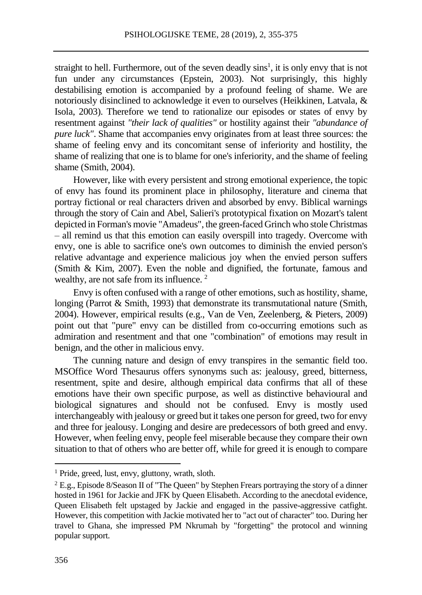straight to hell. Furthermore, out of the seven deadly sins<sup>1</sup>, it is only envy that is not fun under any circumstances (Epstein, 2003). Not surprisingly, this highly destabilising emotion is accompanied by a profound feeling of shame. We are notoriously disinclined to acknowledge it even to ourselves (Heikkinen, Latvala, & Isola, 2003). Therefore we tend to rationalize our episodes or states of envy by resentment against *"their lack of qualities"* or hostility against their *"abundance of pure luck"*. Shame that accompanies envy originates from at least three sources: the shame of feeling envy and its concomitant sense of inferiority and hostility, the shame of realizing that one is to blame for one's inferiority, and the shame of feeling shame (Smith, 2004).

However, like with every persistent and strong emotional experience, the topic of envy has found its prominent place in philosophy, literature and cinema that portray fictional or real characters driven and absorbed by envy. Biblical warnings through the story of Cain and Abel, Salieri's prototypical fixation on Mozart's talent depicted in Forman's movie "Amadeus", the green-faced Grinch who stole Christmas – all remind us that this emotion can easily overspill into tragedy. Overcome with envy, one is able to sacrifice one's own outcomes to diminish the envied person's relative advantage and experience malicious joy when the envied person suffers (Smith & Kim, 2007). Even the noble and dignified, the fortunate, famous and wealthy, are not safe from its influence.<sup>2</sup>

Envy is often confused with a range of other emotions, such as hostility, shame, longing (Parrot & Smith, 1993) that demonstrate its transmutational nature (Smith, 2004). However, empirical results (e.g., Van de Ven, Zeelenberg, & Pieters, 2009) point out that "pure" envy can be distilled from co-occurring emotions such as admiration and resentment and that one "combination" of emotions may result in benign, and the other in malicious envy.

The cunning nature and design of envy transpires in the semantic field too. MSOffice Word Thesaurus offers synonyms such as: jealousy, greed, bitterness, resentment, spite and desire, although empirical data confirms that all of these emotions have their own specific purpose, as well as distinctive behavioural and biological signatures and should not be confused*.* Envy is mostly used interchangeably with jealousy or greed but it takes one person for greed, two for envy and three for jealousy. Longing and desire are predecessors of both greed and envy. However, when feeling envy, people feel miserable because they compare their own situation to that of others who are better off, while for greed it is enough to compare

 $\overline{\phantom{a}}$ 

<sup>&</sup>lt;sup>1</sup> Pride, greed, lust, envy, gluttony, wrath, sloth.

<sup>&</sup>lt;sup>2</sup> E.g., Episode 8/Season II of "The Queen" by Stephen Frears portraying the story of a dinner hosted in 1961 for Jackie and JFK by Queen Elisabeth. According to the anecdotal evidence, Queen Elisabeth felt upstaged by Jackie and engaged in the passive-aggressive catfight. However, this competition with Jackie motivated her to "act out of character" too. During her travel to Ghana, she impressed PM Nkrumah by "forgetting" the protocol and winning popular support.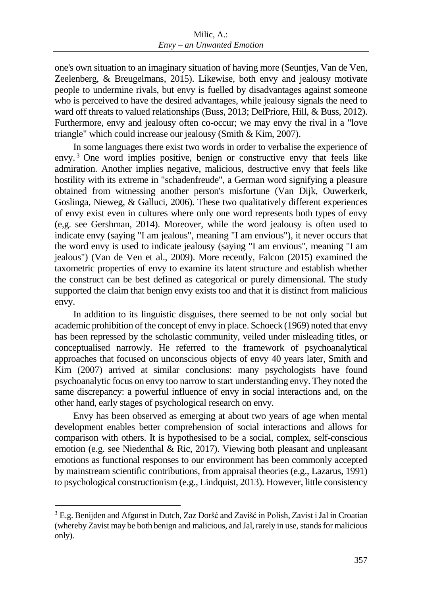one's own situation to an imaginary situation of having more (Seuntjes, Van de Ven, Zeelenberg, & Breugelmans, 2015). Likewise, both envy and jealousy motivate people to undermine rivals, but envy is fuelled by disadvantages against someone who is perceived to have the desired advantages, while jealousy signals the need to ward off threats to valued relationships (Buss, 2013; DelPriore, Hill, & Buss, 2012). Furthermore, envy and jealousy often co-occur; we may envy the rival in a "love triangle" which could increase our jealousy (Smith & Kim, 2007).

In some languages there exist two words in order to verbalise the experience of envy. <sup>3</sup> One word implies positive, benign or constructive envy that feels like admiration. Another implies negative, malicious, destructive envy that feels like hostility with its extreme in "schadenfreude", a German word signifying a pleasure obtained from witnessing another person's misfortune (Van Dijk, Ouwerkerk, Goslinga, Nieweg, & Galluci, 2006). These two qualitatively different experiences of envy exist even in cultures where only one word represents both types of envy (e,g. see Gershman, 2014). Moreover, while the word jealousy is often used to indicate envy (saying "I am jealous", meaning "I am envious"), it never occurs that the word envy is used to indicate jealousy (saying "I am envious", meaning "I am jealous") (Van de Ven et al., 2009). More recently, Falcon (2015) examined the taxometric properties of envy to examine its latent structure and establish whether the construct can be best defined as categorical or purely dimensional. The study supported the claim that benign envy exists too and that it is distinct from malicious envy.

In addition to its linguistic disguises, there seemed to be not only social but academic prohibition of the concept of envy in place. Schoeck (1969) noted that envy has been repressed by the scholastic community, veiled under misleading titles, or conceptualised narrowly. He referred to the framework of psychoanalytical approaches that focused on unconscious objects of envy 40 years later, Smith and Kim (2007) arrived at similar conclusions: many psychologists have found psychoanalytic focus on envy too narrow to start understanding envy. They noted the same discrepancy: a powerful influence of envy in social interactions and, on the other hand, early stages of psychological research on envy*.*

Envy has been observed as emerging at about two years of age when mental development enables better comprehension of social interactions and allows for comparison with others. It is hypothesised to be a social, complex, self-conscious emotion (e.g. see Niedenthal & Ric, 2017). Viewing both pleasant and unpleasant emotions as functional responses to our environment has been commonly accepted by mainstream scientific contributions, from appraisal theories (e.g., Lazarus, 1991) to psychological constructionism (e.g., Lindquist, 2013). However, little consistency

 $\overline{\phantom{a}}$ 

<sup>&</sup>lt;sup>3</sup> E.g. Benijden and Afgunst in Dutch, Zaz Doršć and Zavišć in Polish, Zavist i Jal in Croatian (whereby Zavist may be both benign and malicious, and Jal, rarely in use, stands for malicious only).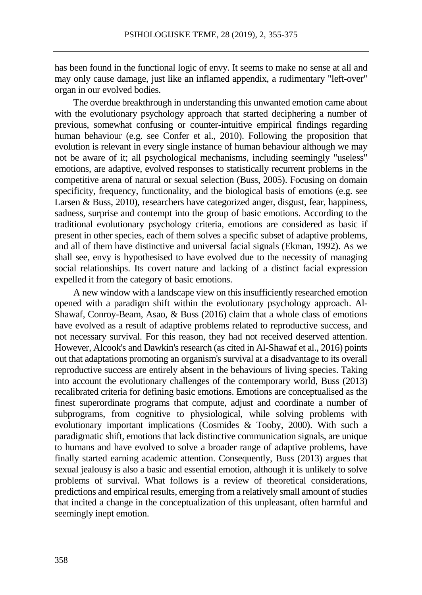has been found in the functional logic of envy. It seems to make no sense at all and may only cause damage, just like an inflamed appendix, a rudimentary "left-over" organ in our evolved bodies.

The overdue breakthrough in understanding this unwanted emotion came about with the evolutionary psychology approach that started deciphering a number of previous, somewhat confusing or counter-intuitive empirical findings regarding human behaviour (e.g. see Confer et al., 2010). Following the proposition that evolution is relevant in every single instance of human behaviour although we may not be aware of it; all psychological mechanisms, including seemingly "useless" emotions, are adaptive, evolved responses to statistically recurrent problems in the competitive arena of natural or sexual selection (Buss, 2005). Focusing on domain specificity, frequency, functionality, and the biological basis of emotions (e.g. see Larsen & Buss, 2010), researchers have categorized anger, disgust, fear, happiness, sadness, surprise and contempt into the group of basic emotions. According to the traditional evolutionary psychology criteria, emotions are considered as basic if present in other species, each of them solves a specific subset of adaptive problems, and all of them have distinctive and universal facial signals (Ekman, 1992). As we shall see, envy is hypothesised to have evolved due to the necessity of managing social relationships. Its covert nature and lacking of a distinct facial expression expelled it from the category of basic emotions.

A new window with a landscape view on this insufficiently researched emotion opened with a paradigm shift within the evolutionary psychology approach. Al-Shawaf, Conroy-Beam, Asao, & Buss (2016) claim that a whole class of emotions have evolved as a result of adaptive problems related to reproductive success, and not necessary survival. For this reason, they had not received deserved attention. However, Alcook's and Dawkin's research (as cited in Al-Shawaf et al., 2016) points out that adaptations promoting an organism's survival at a disadvantage to its overall reproductive success are entirely absent in the behaviours of living species. Taking into account the evolutionary challenges of the contemporary world, Buss (2013) recalibrated criteria for defining basic emotions. Emotions are conceptualised as the finest superordinate programs that compute, adjust and coordinate a number of subprograms, from cognitive to physiological, while solving problems with evolutionary important implications (Cosmides & Tooby, 2000). With such a paradigmatic shift, emotions that lack distinctive communication signals, are unique to humans and have evolved to solve a broader range of adaptive problems, have finally started earning academic attention. Consequently, Buss (2013) argues that sexual jealousy is also a basic and essential emotion, although it is unlikely to solve problems of survival. What follows is a review of theoretical considerations, predictions and empirical results, emerging from a relatively small amount of studies that incited a change in the conceptualization of this unpleasant, often harmful and seemingly inept emotion.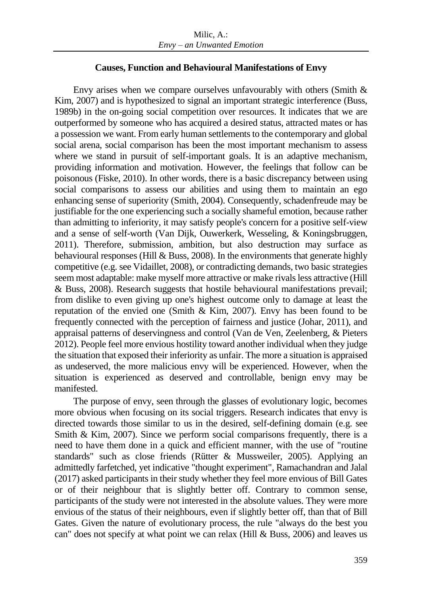#### **Causes, Function and Behavioural Manifestations of Envy**

Envy arises when we compare ourselves unfavourably with others (Smith  $\&$ Kim, 2007) and is hypothesized to signal an important strategic interference (Buss, 1989b) in the on-going social competition over resources. It indicates that we are outperformed by someone who has acquired a desired status, attracted mates or has a possession we want. From early human settlements to the contemporary and global social arena, social comparison has been the most important mechanism to assess where we stand in pursuit of self-important goals. It is an adaptive mechanism, providing information and motivation. However, the feelings that follow can be poisonous (Fiske, 2010). In other words, there is a basic discrepancy between using social comparisons to assess our abilities and using them to maintain an ego enhancing sense of superiority (Smith, 2004). Consequently, schadenfreude may be justifiable for the one experiencing such a socially shameful emotion, because rather than admitting to inferiority, it may satisfy people's concern for a positive self-view and a sense of self-worth (Van Dijk, Ouwerkerk, Wesseling, & Koningsbruggen, 2011). Therefore, submission, ambition, but also destruction may surface as behavioural responses (Hill & Buss, 2008). In the environments that generate highly competitive (e.g. see Vidaillet, 2008), or contradicting demands, two basic strategies seem most adaptable: make myself more attractive or make rivals less attractive (Hill & Buss, 2008). Research suggests that hostile behavioural manifestations prevail; from dislike to even giving up one's highest outcome only to damage at least the reputation of the envied one (Smith & Kim, 2007). Envy has been found to be frequently connected with the perception of fairness and justice (Johar, 2011), and appraisal patterns of deservingness and control (Van de Ven, Zeelenberg, & Pieters 2012). People feel more envious hostility toward another individual when they judge the situation that exposed their inferiority as unfair. The more a situation is appraised as undeserved, the more malicious envy will be experienced. However, when the situation is experienced as deserved and controllable, benign envy may be manifested.

The purpose of envy, seen through the glasses of evolutionary logic, becomes more obvious when focusing on its social triggers. Research indicates that envy is directed towards those similar to us in the desired, self-defining domain (e.g. see Smith & Kim, 2007). Since we perform social comparisons frequently, there is a need to have them done in a quick and efficient manner, with the use of "routine standards" such as close friends (Rütter & Mussweiler, 2005). Applying an admittedly farfetched, yet indicative "thought experiment", Ramachandran and Jalal (2017) asked participants in their study whether they feel more envious of Bill Gates or of their neighbour that is slightly better off. Contrary to common sense, participants of the study were not interested in the absolute values. They were more envious of the status of their neighbours, even if slightly better off, than that of Bill Gates. Given the nature of evolutionary process, the rule "always do the best you can" does not specify at what point we can relax (Hill & Buss, 2006) and leaves us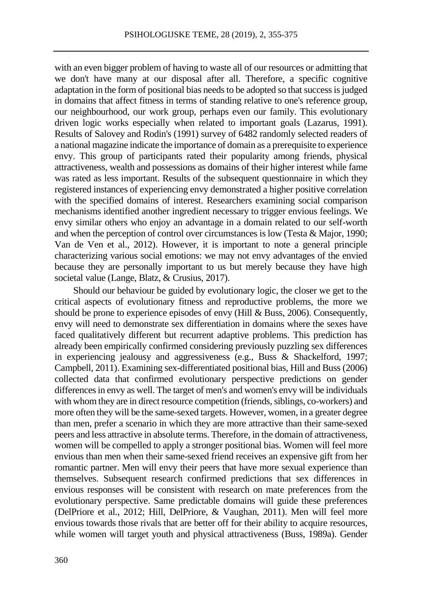with an even bigger problem of having to waste all of our resources or admitting that we don't have many at our disposal after all. Therefore, a specific cognitive adaptation in the form of positional bias needs to be adopted so that success is judged in domains that affect fitness in terms of standing relative to one's reference group, our neighbourhood, our work group, perhaps even our family. This evolutionary driven logic works especially when related to important goals (Lazarus, 1991). Results of Salovey and Rodin's (1991) survey of 6482 randomly selected readers of a national magazine indicate the importance of domain as a prerequisite to experience envy. This group of participants rated their popularity among friends, physical attractiveness, wealth and possessions as domains of their higher interest while fame was rated as less important. Results of the subsequent questionnaire in which they registered instances of experiencing envy demonstrated a higher positive correlation with the specified domains of interest. Researchers examining social comparison mechanisms identified another ingredient necessary to trigger envious feelings. We envy similar others who enjoy an advantage in a domain related to our self-worth and when the perception of control over circumstances is low (Testa & Major, 1990; Van de Ven et al., 2012). However, it is important to note a general principle characterizing various social emotions: we may not envy advantages of the envied because they are personally important to us but merely because they have high societal value (Lange, Blatz, & Crusius, 2017).

Should our behaviour be guided by evolutionary logic, the closer we get to the critical aspects of evolutionary fitness and reproductive problems, the more we should be prone to experience episodes of envy (Hill & Buss, 2006). Consequently, envy will need to demonstrate sex differentiation in domains where the sexes have faced qualitatively different but recurrent adaptive problems. This prediction has already been empirically confirmed considering previously puzzling sex differences in experiencing jealousy and aggressiveness (e.g., Buss & Shackelford, 1997; Campbell, 2011). Examining sex-differentiated positional bias, Hill and Buss (2006) collected data that confirmed evolutionary perspective predictions on gender differences in envy as well. The target of men's and women's envy will be individuals with whom they are in direct resource competition (friends, siblings, co-workers) and more often they will be the same-sexed targets. However, women, in a greater degree than men, prefer a scenario in which they are more attractive than their same-sexed peers and less attractive in absolute terms. Therefore, in the domain of attractiveness, women will be compelled to apply a stronger positional bias. Women will feel more envious than men when their same-sexed friend receives an expensive gift from her romantic partner. Men will envy their peers that have more sexual experience than themselves. Subsequent research confirmed predictions that sex differences in envious responses will be consistent with research on mate preferences from the evolutionary perspective. Same predictable domains will guide these preferences (DelPriore et al., 2012; Hill, DelPriore, & Vaughan, 2011). Men will feel more envious towards those rivals that are better off for their ability to acquire resources, while women will target youth and physical attractiveness (Buss, 1989a). Gender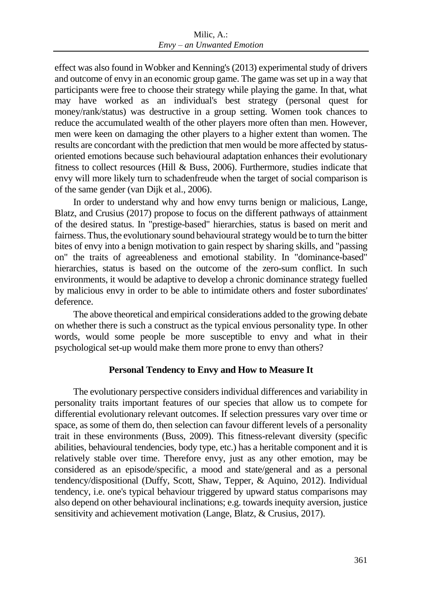effect was also found in Wobker and Kenning's (2013) experimental study of drivers and outcome of envy in an economic group game. The game was set up in a way that participants were free to choose their strategy while playing the game. In that, what may have worked as an individual's best strategy (personal quest for money/rank/status) was destructive in a group setting. Women took chances to reduce the accumulated wealth of the other players more often than men. However, men were keen on damaging the other players to a higher extent than women. The results are concordant with the prediction that men would be more affected by statusoriented emotions because such behavioural adaptation enhances their evolutionary fitness to collect resources (Hill & Buss, 2006). Furthermore, studies indicate that envy will more likely turn to schadenfreude when the target of social comparison is of the same gender (van Dijk et al., 2006).

In order to understand why and how envy turns benign or malicious, Lange, Blatz, and Crusius (2017) propose to focus on the different pathways of attainment of the desired status. In "prestige-based" hierarchies, status is based on merit and fairness. Thus, the evolutionary sound behavioural strategy would be to turn the bitter bites of envy into a benign motivation to gain respect by sharing skills, and "passing on" the traits of agreeableness and emotional stability. In "dominance-based" hierarchies, status is based on the outcome of the zero-sum conflict. In such environments, it would be adaptive to develop a chronic dominance strategy fuelled by malicious envy in order to be able to intimidate others and foster subordinates' deference.

The above theoretical and empirical considerations added to the growing debate on whether there is such a construct as the typical envious personality type. In other words, would some people be more susceptible to envy and what in their psychological set-up would make them more prone to envy than others?

# **Personal Tendency to Envy and How to Measure It**

The evolutionary perspective considers individual differences and variability in personality traits important features of our species that allow us to compete for differential evolutionary relevant outcomes. If selection pressures vary over time or space, as some of them do, then selection can favour different levels of a personality trait in these environments (Buss, 2009). This fitness-relevant diversity (specific abilities, behavioural tendencies, body type, etc.) has a heritable component and it is relatively stable over time. Therefore envy, just as any other emotion, may be considered as an episode/specific, a mood and state/general and as a personal tendency/dispositional (Duffy, Scott, Shaw, Tepper, & Aquino, 2012). Individual tendency, i.e. one's typical behaviour triggered by upward status comparisons may also depend on other behavioural inclinations; e.g. towards inequity aversion, justice sensitivity and achievement motivation (Lange, Blatz, & Crusius, 2017).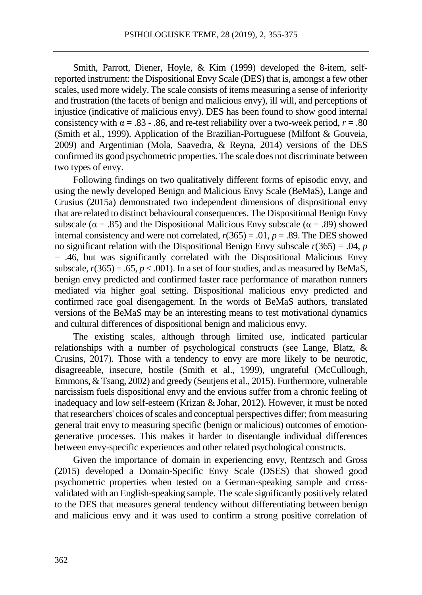Smith, Parrott, Diener, Hoyle, & Kim (1999) developed the 8-item, selfreported instrument: the Dispositional Envy Scale (DES) that is, amongst a few other scales, used more widely. The scale consists of items measuring a sense of inferiority and frustration (the facets of benign and malicious envy), ill will, and perceptions of injustice (indicative of malicious envy). DES has been found to show good internal consistency with  $\alpha = .83 - .86$ , and re-test reliability over a two-week period,  $r = .80$ (Smith et al., 1999). Application of the Brazilian-Portuguese (Milfont & Gouveia, 2009) and Argentinian (Mola, Saavedra, & Reyna, 2014) versions of the DES confirmed its good psychometric properties. The scale does not discriminate between two types of envy.

Following findings on two qualitatively different forms of episodic envy, and using the newly developed Benign and Malicious Envy Scale (BeMaS), Lange and Crusius (2015a) demonstrated two independent dimensions of dispositional envy that are related to distinct behavioural consequences. The Dispositional Benign Envy subscale ( $\alpha = .85$ ) and the Dispositional Malicious Envy subscale ( $\alpha = .89$ ) showed internal consistency and were not correlated,  $r(365) = .01$ ,  $p = .89$ . The DES showed no significant relation with the Dispositional Benign Envy subscale  $r(365) = .04$ , *p*  $= .46$ , but was significantly correlated with the Dispositional Malicious Envy subscale,  $r(365) = .65$ ,  $p < .001$ ). In a set of four studies, and as measured by BeMaS, benign envy predicted and confirmed faster race performance of marathon runners mediated via higher goal setting. Dispositional malicious envy predicted and confirmed race goal disengagement. In the words of BeMaS authors, translated versions of the BeMaS may be an interesting means to test motivational dynamics and cultural differences of dispositional benign and malicious envy.

The existing scales, although through limited use, indicated particular relationships with a number of psychological constructs (see Lange, Blatz, & Crusins, 2017). Those with a tendency to envy are more likely to be neurotic, disagreeable, insecure, hostile (Smith et al., 1999), ungrateful (McCullough, Emmons, & Tsang, 2002) and greedy (Seutjens et al., 2015). Furthermore, vulnerable narcissism fuels dispositional envy and the envious suffer from a chronic feeling of inadequacy and low self-esteem (Krizan & Johar, 2012). However, it must be noted that researchers' choices of scales and conceptual perspectives differ; from measuring general trait envy to measuring specific (benign or malicious) outcomes of emotiongenerative processes. This makes it harder to disentangle individual differences between envy-specific experiences and other related psychological constructs.

Given the importance of domain in experiencing envy, Rentzsch and Gross (2015) developed a Domain-Specific Envy Scale (DSES) that showed good psychometric properties when tested on a German-speaking sample and crossvalidated with an English-speaking sample. The scale significantly positively related to the DES that measures general tendency without differentiating between benign and malicious envy and it was used to confirm a strong positive correlation of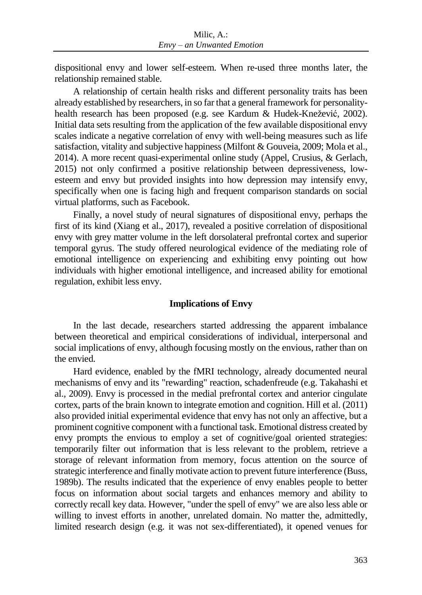dispositional envy and lower self-esteem. When re-used three months later, the relationship remained stable.

A relationship of certain health risks and different personality traits has been already established by researchers, in so far that a general framework for personalityhealth research has been proposed (e.g. see Kardum & Hudek-Knežević, 2002). Initial data sets resulting from the application of the few available dispositional envy scales indicate a negative correlation of envy with well-being measures such as life satisfaction, vitality and subjective happiness (Milfont & Gouveia, 2009; Mola et al., 2014). A more recent quasi-experimental online study (Appel, Crusius, & Gerlach, 2015) not only confirmed a positive relationship between depressiveness, lowesteem and envy but provided insights into how depression may intensify envy, specifically when one is facing high and frequent comparison standards on social virtual platforms, such as Facebook.

Finally, a novel study of neural signatures of dispositional envy, perhaps the first of its kind (Xiang et al., 2017), revealed a positive correlation of dispositional envy with grey matter volume in the left dorsolateral prefrontal cortex and superior temporal gyrus. The study offered neurological evidence of the mediating role of emotional intelligence on experiencing and exhibiting envy pointing out how individuals with higher emotional intelligence, and increased ability for emotional regulation, exhibit less envy.

## **Implications of Envy**

In the last decade, researchers started addressing the apparent imbalance between theoretical and empirical considerations of individual, interpersonal and social implications of envy, although focusing mostly on the envious, rather than on the envied.

Hard evidence, enabled by the fMRI technology, already documented neural mechanisms of envy and its "rewarding" reaction, schadenfreude (e.g. Takahashi et al., 2009). Envy is processed in the medial prefrontal cortex and anterior cingulate cortex, parts of the brain known to integrate emotion and cognition. Hill et al. (2011) also provided initial experimental evidence that envy has not only an affective, but a prominent cognitive component with a functional task. Emotional distress created by envy prompts the envious to employ a set of cognitive/goal oriented strategies: temporarily filter out information that is less relevant to the problem, retrieve a storage of relevant information from memory, focus attention on the source of strategic interference and finally motivate action to prevent future interference (Buss, 1989b). The results indicated that the experience of envy enables people to better focus on information about social targets and enhances memory and ability to correctly recall key data. However, "under the spell of envy" we are also less able or willing to invest efforts in another, unrelated domain. No matter the, admittedly, limited research design (e.g. it was not sex-differentiated), it opened venues for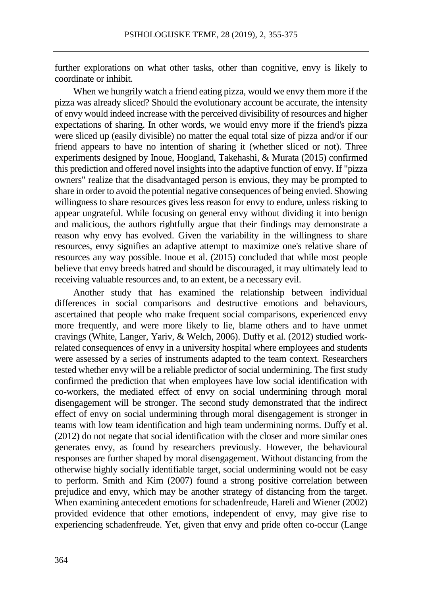further explorations on what other tasks, other than cognitive, envy is likely to coordinate or inhibit.

When we hungrily watch a friend eating pizza, would we envy them more if the pizza was already sliced? Should the evolutionary account be accurate, the intensity of envy would indeed increase with the perceived divisibility of resources and higher expectations of sharing. In other words, we would envy more if the friend's pizza were sliced up (easily divisible) no matter the equal total size of pizza and/or if our friend appears to have no intention of sharing it (whether sliced or not). Three experiments designed by Inoue, Hoogland, Takehashi, & Murata (2015) confirmed this prediction and offered novel insights into the adaptive function of envy. If "pizza owners" realize that the disadvantaged person is envious, they may be prompted to share in order to avoid the potential negative consequences of being envied. Showing willingness to share resources gives less reason for envy to endure, unless risking to appear ungrateful. While focusing on general envy without dividing it into benign and malicious, the authors rightfully argue that their findings may demonstrate a reason why envy has evolved. Given the variability in the willingness to share resources, envy signifies an adaptive attempt to maximize one's relative share of resources any way possible. Inoue et al. (2015) concluded that while most people believe that envy breeds hatred and should be discouraged, it may ultimately lead to receiving valuable resources and, to an extent, be a necessary evil.

Another study that has examined the relationship between individual differences in social comparisons and destructive emotions and behaviours, ascertained that people who make frequent social comparisons, experienced envy more frequently, and were more likely to lie, blame others and to have unmet cravings (White, Langer*,* Yariv, & Welch*,* 2006). Duffy et al. (2012) studied workrelated consequences of envy in a university hospital where employees and students were assessed by a series of instruments adapted to the team context. Researchers tested whether envy will be a reliable predictor of social undermining. The first study confirmed the prediction that when employees have low social identification with co-workers, the mediated effect of envy on social undermining through moral disengagement will be stronger. The second study demonstrated that the indirect effect of envy on social undermining through moral disengagement is stronger in teams with low team identification and high team undermining norms. Duffy et al. (2012) do not negate that social identification with the closer and more similar ones generates envy, as found by researchers previously. However, the behavioural responses are further shaped by moral disengagement. Without distancing from the otherwise highly socially identifiable target, social undermining would not be easy to perform. Smith and Kim (2007) found a strong positive correlation between prejudice and envy, which may be another strategy of distancing from the target. When examining antecedent emotions for schadenfreude, Hareli and Wiener (2002) provided evidence that other emotions, independent of envy, may give rise to experiencing schadenfreude. Yet, given that envy and pride often co-occur (Lange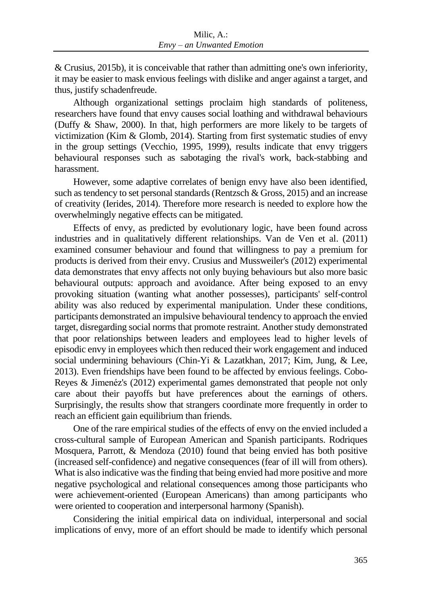& Crusius, 2015b), it is conceivable that rather than admitting one's own inferiority, it may be easier to mask envious feelings with dislike and anger against a target, and thus, justify schadenfreude.

Although organizational settings proclaim high standards of politeness, researchers have found that envy causes social loathing and withdrawal behaviours (Duffy & Shaw, 2000). In that, high performers are more likely to be targets of victimization (Kim & Glomb, 2014). Starting from first systematic studies of envy in the group settings (Vecchio, 1995, 1999), results indicate that envy triggers behavioural responses such as sabotaging the rival's work, back-stabbing and harassment.

However, some adaptive correlates of benign envy have also been identified, such as tendency to set personal standards (Rentzsch & Gross, 2015) and an increase of creativity (Ierides, 2014). Therefore more research is needed to explore how the overwhelmingly negative effects can be mitigated.

Effects of envy, as predicted by evolutionary logic, have been found across industries and in qualitatively different relationships. Van de Ven et al. (2011) examined consumer behaviour and found that willingness to pay a premium for products is derived from their envy. Crusius and Mussweiler's (2012) experimental data demonstrates that envy affects not only buying behaviours but also more basic behavioural outputs: approach and avoidance. After being exposed to an envy provoking situation (wanting what another possesses), participants' self-control ability was also reduced by experimental manipulation. Under these conditions, participants demonstrated an impulsive behavioural tendency to approach the envied target, disregarding social norms that promote restraint. Another study demonstrated that poor relationships between leaders and employees lead to higher levels of episodic envy in employees which then reduced their work engagement and induced social undermining behaviours (Chin-Yi & Lazatkhan, 2017; Kim, Jung, & Lee, 2013). Even friendships have been found to be affected by envious feelings. Cobo-Reyes & Jimenéz's (2012) experimental games demonstrated that people not only care about their payoffs but have preferences about the earnings of others. Surprisingly, the results show that strangers coordinate more frequently in order to reach an efficient gain equilibrium than friends.

One of the rare empirical studies of the effects of envy on the envied included a cross-cultural sample of European American and Spanish participants. Rodriques Mosquera, Parrott, & Mendoza (2010) found that being envied has both positive (increased self-confidence) and negative consequences (fear of ill will from others). What is also indicative was the finding that being envied had more positive and more negative psychological and relational consequences among those participants who were achievement-oriented (European Americans) than among participants who were oriented to cooperation and interpersonal harmony (Spanish).

Considering the initial empirical data on individual, interpersonal and social implications of envy, more of an effort should be made to identify which personal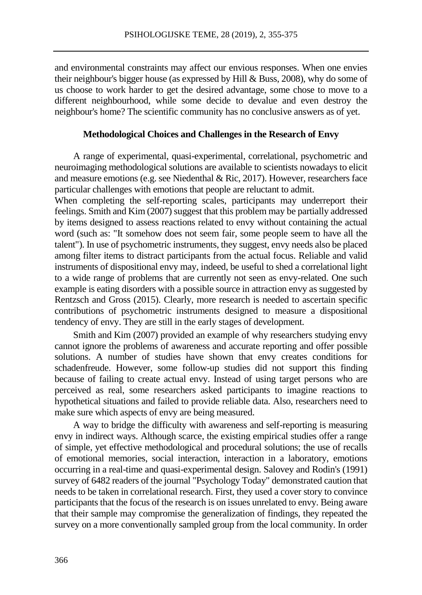and environmental constraints may affect our envious responses. When one envies their neighbour's bigger house (as expressed by Hill & Buss, 2008), why do some of us choose to work harder to get the desired advantage, some chose to move to a different neighbourhood, while some decide to devalue and even destroy the neighbour's home? The scientific community has no conclusive answers as of yet.

#### **Methodological Choices and Challenges in the Research of Envy**

A range of experimental, quasi-experimental, correlational, psychometric and neuroimaging methodological solutions are available to scientists nowadays to elicit and measure emotions (e.g. see Niedenthal & Ric, 2017). However, researchers face particular challenges with emotions that people are reluctant to admit.

When completing the self-reporting scales, participants may underreport their feelings. Smith and Kim (2007) suggest that this problem may be partially addressed by items designed to assess reactions related to envy without containing the actual word (such as: "It somehow does not seem fair, some people seem to have all the talent"). In use of psychometric instruments, they suggest, envy needs also be placed among filter items to distract participants from the actual focus. Reliable and valid instruments of dispositional envy may, indeed, be useful to shed a correlational light to a wide range of problems that are currently not seen as envy-related. One such example is eating disorders with a possible source in attraction envy as suggested by Rentzsch and Gross (2015). Clearly, more research is needed to ascertain specific contributions of psychometric instruments designed to measure a dispositional tendency of envy. They are still in the early stages of development.

Smith and Kim (2007) provided an example of why researchers studying envy cannot ignore the problems of awareness and accurate reporting and offer possible solutions. A number of studies have shown that envy creates conditions for schadenfreude. However, some follow-up studies did not support this finding because of failing to create actual envy. Instead of using target persons who are perceived as real, some researchers asked participants to imagine reactions to hypothetical situations and failed to provide reliable data. Also, researchers need to make sure which aspects of envy are being measured.

A way to bridge the difficulty with awareness and self-reporting is measuring envy in indirect ways. Although scarce, the existing empirical studies offer a range of simple, yet effective methodological and procedural solutions; the use of recalls of emotional memories, social interaction, interaction in a laboratory, emotions occurring in a real-time and quasi-experimental design. Salovey and Rodin's (1991) survey of 6482 readers of the journal "Psychology Today" demonstrated caution that needs to be taken in correlational research. First, they used a cover story to convince participants that the focus of the research is on issues unrelated to envy. Being aware that their sample may compromise the generalization of findings, they repeated the survey on a more conventionally sampled group from the local community. In order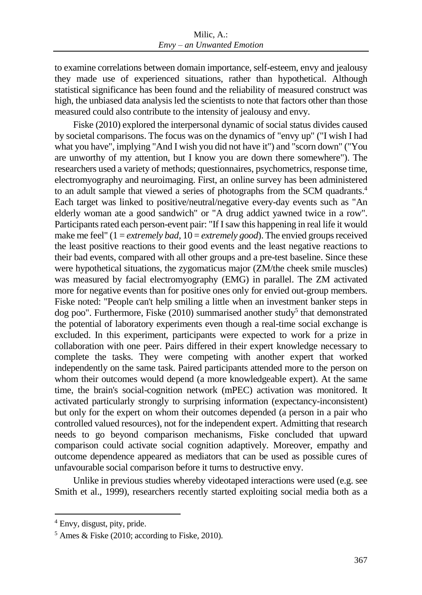to examine correlations between domain importance, self-esteem, envy and jealousy they made use of experienced situations, rather than hypothetical. Although statistical significance has been found and the reliability of measured construct was high, the unbiased data analysis led the scientists to note that factors other than those measured could also contribute to the intensity of jealousy and envy.

Fiske (2010) explored the interpersonal dynamic of social status divides caused by societal comparisons. The focus was on the dynamics of "envy up" ("I wish I had what you have", implying "And I wish you did not have it") and "scorn down" ("You are unworthy of my attention, but I know you are down there somewhere"). The researchers used a variety of methods; questionnaires, psychometrics, response time, electromyography and neuroimaging. First, an online survey has been administered to an adult sample that viewed a series of photographs from the SCM quadrants. 4 Each target was linked to positive/neutral/negative every-day events such as "An elderly woman ate a good sandwich" or "A drug addict yawned twice in a row". Participants rated each person-event pair: "If I saw this happening in real life it would make me feel" (1 = *extremely bad*, 10 = *extremely good*). The envied groups received the least positive reactions to their good events and the least negative reactions to their bad events, compared with all other groups and a pre-test baseline. Since these were hypothetical situations, the zygomaticus major (ZM/the cheek smile muscles) was measured by facial electromyography (EMG) in parallel. The ZM activated more for negative events than for positive ones only for envied out-group members. Fiske noted: "People can't help smiling a little when an investment banker steps in dog poo". Furthermore, Fiske (2010) summarised another study<sup>5</sup> that demonstrated the potential of laboratory experiments even though a real-time social exchange is excluded. In this experiment, participants were expected to work for a prize in collaboration with one peer. Pairs differed in their expert knowledge necessary to complete the tasks. They were competing with another expert that worked independently on the same task. Paired participants attended more to the person on whom their outcomes would depend (a more knowledgeable expert). At the same time, the brain's social-cognition network (mPEC) activation was monitored. It activated particularly strongly to surprising information (expectancy-inconsistent) but only for the expert on whom their outcomes depended (a person in a pair who controlled valued resources), not for the independent expert. Admitting that research needs to go beyond comparison mechanisms, Fiske concluded that upward comparison could activate social cognition adaptively. Moreover, empathy and outcome dependence appeared as mediators that can be used as possible cures of unfavourable social comparison before it turns to destructive envy.

Unlike in previous studies whereby videotaped interactions were used (e.g. see Smith et al., 1999), researchers recently started exploiting social media both as a

 $\overline{\phantom{a}}$ 

<sup>4</sup> Envy, disgust, pity, pride.

<sup>5</sup> Ames & Fiske (2010; according to Fiske, 2010).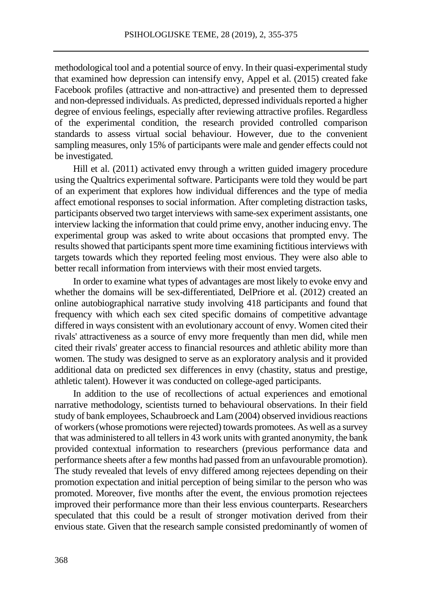methodological tool and a potential source of envy. In their quasi-experimental study that examined how depression can intensify envy, Appel et al. (2015) created fake Facebook profiles (attractive and non-attractive) and presented them to depressed and non-depressed individuals. As predicted, depressed individuals reported a higher degree of envious feelings, especially after reviewing attractive profiles. Regardless of the experimental condition, the research provided controlled comparison standards to assess virtual social behaviour. However, due to the convenient sampling measures, only 15% of participants were male and gender effects could not be investigated.

Hill et al. (2011) activated envy through a written guided imagery procedure using the Qualtrics experimental software. Participants were told they would be part of an experiment that explores how individual differences and the type of media affect emotional responses to social information. After completing distraction tasks, participants observed two target interviews with same-sex experiment assistants, one interview lacking the information that could prime envy, another inducing envy. The experimental group was asked to write about occasions that prompted envy. The results showed that participants spent more time examining fictitious interviews with targets towards which they reported feeling most envious. They were also able to better recall information from interviews with their most envied targets.

In order to examine what types of advantages are most likely to evoke envy and whether the domains will be sex-differentiated, DelPriore et al. (2012) created an online autobiographical narrative study involving 418 participants and found that frequency with which each sex cited specific domains of competitive advantage differed in ways consistent with an evolutionary account of envy. Women cited their rivals' attractiveness as a source of envy more frequently than men did, while men cited their rivals' greater access to financial resources and athletic ability more than women. The study was designed to serve as an exploratory analysis and it provided additional data on predicted sex differences in envy (chastity, status and prestige, athletic talent). However it was conducted on college-aged participants.

In addition to the use of recollections of actual experiences and emotional narrative methodology, scientists turned to behavioural observations. In their field study of bank employees, Schaubroeck and Lam (2004) observed invidious reactions of workers (whose promotions were rejected) towards promotees. As well as a survey that was administered to all tellers in 43 work units with granted anonymity, the bank provided contextual information to researchers (previous performance data and performance sheets after a few months had passed from an unfavourable promotion). The study revealed that levels of envy differed among rejectees depending on their promotion expectation and initial perception of being similar to the person who was promoted. Moreover, five months after the event, the envious promotion rejectees improved their performance more than their less envious counterparts. Researchers speculated that this could be a result of stronger motivation derived from their envious state. Given that the research sample consisted predominantly of women of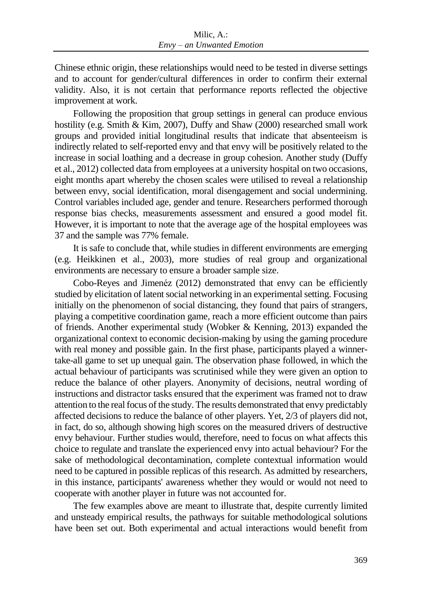Chinese ethnic origin, these relationships would need to be tested in diverse settings and to account for gender/cultural differences in order to confirm their external validity. Also, it is not certain that performance reports reflected the objective improvement at work.

Following the proposition that group settings in general can produce envious hostility (e.g. Smith & Kim, 2007), Duffy and Shaw (2000) researched small work groups and provided initial longitudinal results that indicate that absenteeism is indirectly related to self-reported envy and that envy will be positively related to the increase in social loathing and a decrease in group cohesion. Another study (Duffy et al., 2012) collected data from employees at a university hospital on two occasions, eight months apart whereby the chosen scales were utilised to reveal a relationship between envy, social identification, moral disengagement and social undermining. Control variables included age, gender and tenure. Researchers performed thorough response bias checks, measurements assessment and ensured a good model fit. However, it is important to note that the average age of the hospital employees was 37 and the sample was 77% female.

It is safe to conclude that, while studies in different environments are emerging (e.g. Heikkinen et al., 2003), more studies of real group and organizational environments are necessary to ensure a broader sample size.

Cobo-Reyes and Jimenéz (2012) demonstrated that envy can be efficiently studied by elicitation of latent social networking in an experimental setting. Focusing initially on the phenomenon of social distancing, they found that pairs of strangers, playing a competitive coordination game, reach a more efficient outcome than pairs of friends. Another experimental study (Wobker & Kenning, 2013) expanded the organizational context to economic decision-making by using the gaming procedure with real money and possible gain. In the first phase, participants played a winnertake-all game to set up unequal gain. The observation phase followed, in which the actual behaviour of participants was scrutinised while they were given an option to reduce the balance of other players. Anonymity of decisions, neutral wording of instructions and distractor tasks ensured that the experiment was framed not to draw attention to the real focus of the study. The results demonstrated that envy predictably affected decisions to reduce the balance of other players. Yet, 2/3 of players did not, in fact, do so, although showing high scores on the measured drivers of destructive envy behaviour. Further studies would, therefore, need to focus on what affects this choice to regulate and translate the experienced envy into actual behaviour? For the sake of methodological decontamination, complete contextual information would need to be captured in possible replicas of this research. As admitted by researchers, in this instance, participants' awareness whether they would or would not need to cooperate with another player in future was not accounted for.

The few examples above are meant to illustrate that, despite currently limited and unsteady empirical results, the pathways for suitable methodological solutions have been set out. Both experimental and actual interactions would benefit from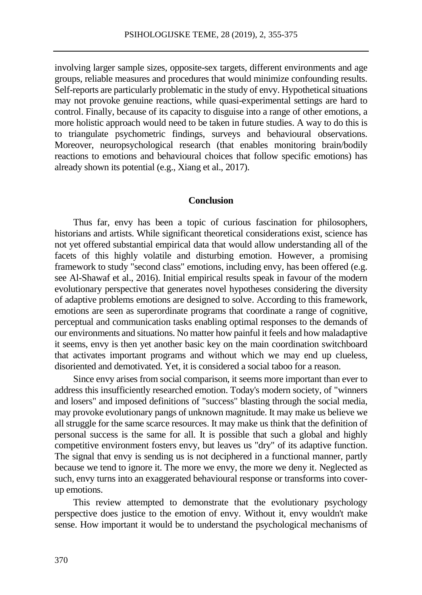involving larger sample sizes, opposite-sex targets, different environments and age groups, reliable measures and procedures that would minimize confounding results. Self-reports are particularly problematic in the study of envy. Hypothetical situations may not provoke genuine reactions, while quasi-experimental settings are hard to control. Finally, because of its capacity to disguise into a range of other emotions, a more holistic approach would need to be taken in future studies. A way to do this is to triangulate psychometric findings, surveys and behavioural observations. Moreover, neuropsychological research (that enables monitoring brain/bodily reactions to emotions and behavioural choices that follow specific emotions) has already shown its potential (e.g., Xiang et al., 2017).

#### **Conclusion**

Thus far, envy has been a topic of curious fascination for philosophers, historians and artists. While significant theoretical considerations exist, science has not yet offered substantial empirical data that would allow understanding all of the facets of this highly volatile and disturbing emotion. However, a promising framework to study "second class" emotions, including envy, has been offered (e.g. see Al-Shawaf et al., 2016). Initial empirical results speak in favour of the modern evolutionary perspective that generates novel hypotheses considering the diversity of adaptive problems emotions are designed to solve. According to this framework, emotions are seen as superordinate programs that coordinate a range of cognitive, perceptual and communication tasks enabling optimal responses to the demands of our environments and situations. No matter how painful it feels and how maladaptive it seems, envy is then yet another basic key on the main coordination switchboard that activates important programs and without which we may end up clueless, disoriented and demotivated. Yet, it is considered a social taboo for a reason.

Since envy arises from social comparison, it seems more important than ever to address this insufficiently researched emotion. Today's modern society, of "winners and losers" and imposed definitions of "success" blasting through the social media, may provoke evolutionary pangs of unknown magnitude. It may make us believe we all struggle for the same scarce resources. It may make us think that the definition of personal success is the same for all. It is possible that such a global and highly competitive environment fosters envy, but leaves us "dry" of its adaptive function. The signal that envy is sending us is not deciphered in a functional manner, partly because we tend to ignore it. The more we envy, the more we deny it. Neglected as such, envy turns into an exaggerated behavioural response or transforms into coverup emotions.

This review attempted to demonstrate that the evolutionary psychology perspective does justice to the emotion of envy. Without it, envy wouldn't make sense. How important it would be to understand the psychological mechanisms of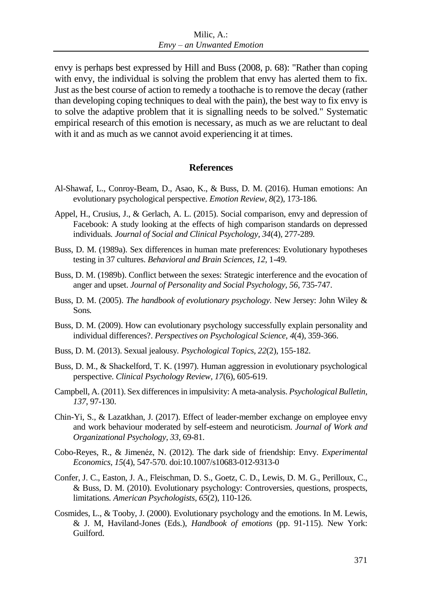envy is perhaps best expressed by Hill and Buss (2008, p. 68): "Rather than coping with envy, the individual is solving the problem that envy has alerted them to fix. Just as the best course of action to remedy a toothache is to remove the decay (rather than developing coping techniques to deal with the pain), the best way to fix envy is to solve the adaptive problem that it is signalling needs to be solved." Systematic empirical research of this emotion is necessary, as much as we are reluctant to deal with it and as much as we cannot avoid experiencing it at times.

#### **References**

- Al-Shawaf, L., Conroy-Beam, D., Asao, K., & Buss, D. M. (2016). Human emotions: An evolutionary psychological perspective. *Emotion Review, 8*(2), 173-186*.*
- Appel, H., Crusius, J., & Gerlach, A. L. (2015). Social comparison, envy and depression of Facebook: A study looking at the effects of high comparison standards on depressed individuals*. Journal of Social and Clinical Psychology, 34*(4)*,* 277-289*.*
- Buss, D. M. (1989a). Sex differences in human mate preferences: Evolutionary hypotheses testing in 37 cultures. *Behavioral and Brain Sciences, 12,* 1-49.
- Buss, D. M. (1989b). Conflict between the sexes: Strategic interference and the evocation of anger and upset. *Journal of Personality and Social Psychology, 56,* 735-747.
- Buss, D. M. (2005). *The handbook of evolutionary psychology.* New Jersey: John Wiley & Sons*.*
- Buss, D. M. (2009). How can evolutionary psychology successfully explain personality and individual differences?. *Perspectives on Psychological Science, 4*(4), 359-366.
- Buss, D. M. (2013). Sexual jealousy*. Psychological Topics, 22*(2), 155-182.
- Buss, D. M., & Shackelford, T. K. (1997). Human aggression in evolutionary psychological perspective. *Clinical Psychology Review, 17*(6), 605-619.
- Campbell, A. (2011). Sex differences in impulsivity: A meta-analysis. *Psychological Bulletin, 137*, 97-130.
- Chin-Yi, S., & Lazatkhan, J. (2017). Effect of leader-member exchange on employee envy and work behaviour moderated by self-esteem and neuroticism. *Journal of Work and Organizational Psychology, 33*, 69-81.
- Cobo-Reyes, R., & Jimenéz, N. (2012). The dark side of friendship: Envy. *Experimental Economics, 15*(4), 547-570*.* doi:10.1007/s10683-012-9313-0
- Confer, J. C., Easton, J. A., Fleischman, D. S., Goetz, C. D., Lewis, D. M. G., Perilloux, C., & Buss, D. M. (2010). Evolutionary psychology: Controversies, questions, prospects, limitations*. American Psychologists, 65*(2), 110-126.
- Cosmides, L., & Tooby, J. (2000). Evolutionary psychology and the emotions. In M. Lewis, & J. M, Haviland-Jones (Eds.), *Handbook of emotions* (pp. 91-115). New York: Guilford.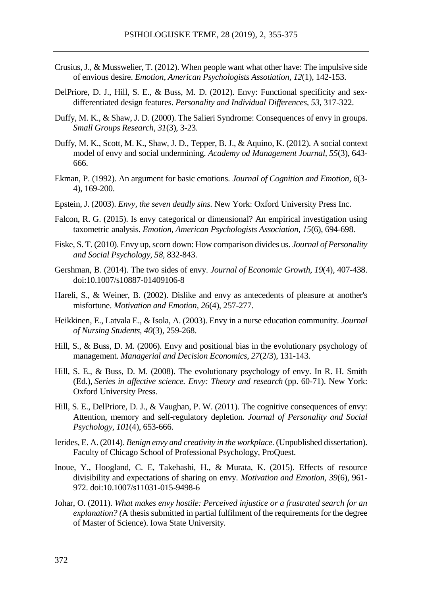- Crusius, J., & Musswelier, T. (2012). When people want what other have: The impulsive side of envious desire. *Emotion, American Psychologists Assotiation, 12*(1), 142-153.
- DelPriore, D. J., Hill, S. E., & Buss, M. D. (2012). Envy: Functional specificity and sexdifferentiated design features. *Personality and Individual Differences, 53*, 317-322.
- Duffy, M. K., & Shaw, J. D. (2000). The Salieri Syndrome: Consequences of envy in groups. *Small Groups Research, 31*(3), 3-23.
- Duffy, M. K., Scott, M. K., Shaw, J. D., Tepper, B. J., & Aquino, K. (2012). A social context model of envy and social undermining. *Academy od Management Journal, 55*(3), 643- 666.
- Ekman, P. (1992). An argument for basic emotions. *Journal of Cognition and Emotion, 6*(3- 4), 169-200.
- Epstein, J. (2003). *Envy, the seven deadly sins*. New York: Oxford University Press Inc.
- Falcon, R. G. (2015). Is envy categorical or dimensional? An empirical investigation using taxometric analysis. *Emotion, American Psychologists Association, 15*(6), 694-698.
- Fiske, S. T. (2010). Envy up, scorn down: How comparison divides us. *Journal of Personality and Social Psychology, 58*, 832-843.
- Gershman, B. (2014). The two sides of envy. *Journal of Economic Growth, 19*(4)*,* 407-438. doi:10.1007/s10887-01409106-8
- Hareli, S., & Weiner, B. (2002). Dislike and envy as antecedents of pleasure at another's misfortune. *Motivation and Emotion, 26*(4), 257-277.
- Heikkinen, E., Latvala E., & Isola, A. (2003). Envy in a nurse education community. *Journal of Nursing Students, 40*(3), 259-268.
- Hill, S., & Buss, D. M. (2006). Envy and positional bias in the evolutionary psychology of management. *Managerial and Decision Economics, 27*(2/3), 131-143.
- Hill, S. E., & Buss, D. M. (2008). The evolutionary psychology of envy. In R. H. Smith (Ed.), *Series in affective science. Envy: Theory and research* (pp. 60-71). New York: Oxford University Press.
- Hill, S. E., DelPriore, D. J., & Vaughan, P. W. (2011). The cognitive consequences of envy: Attention, memory and self-regulatory depletion. *Journal of Personality and Social Psychology, 101*(4), 653-666.
- Ierides, E. A. (2014). *Benign envy and creativity in the workplace.* (Unpublished dissertation). Faculty of Chicago School of Professional Psychology, ProQuest.
- Inoue, Y., Hoogland, C. E, Takehashi, H., & Murata, K. (2015). Effects of resource divisibility and expectations of sharing on envy. *Motivation and Emotion, 39*(6), 961- 972. doi:10.1007/s11031-015-9498-6
- Johar, O. (2011). *What makes envy hostile: Perceived injustice or a frustrated search for an explanation? (*A thesis submitted in partial fulfilment of the requirements for the degree of Master of Science). Iowa State University*.*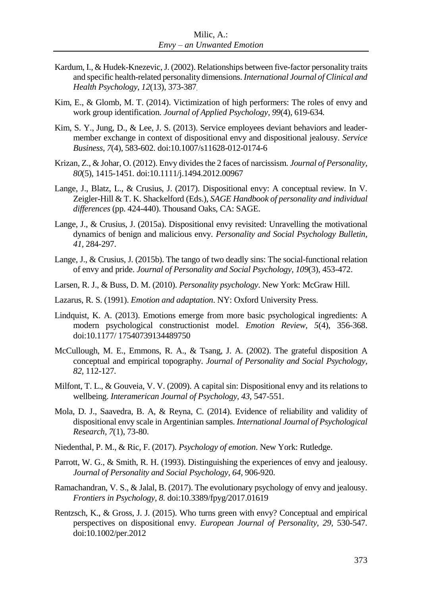- Kardum, I., & Hudek-Knezevic, J. (2002). Relationships between five-factor personality traits and specific health-related personality dimensions. *International Journal of Clinical and Health Psychology, 12*(13), 373-387*.*
- Kim, E., & Glomb, M. T. (2014). Victimization of high performers: The roles of envy and work group identification. *Journal of Applied Psychology, 99*(4)*,* 619-634*.*
- Kim, S. Y., Jung, D., & Lee, J. S. (2013). Service employees deviant behaviors and leadermember exchange in context of dispositional envy and dispositional jealousy. *Service Business, 7*(4), 583-602. doi:10.1007/s11628-012-0174-6
- Krizan, Z., & Johar, O. (2012). Envy divides the 2 faces of narcissism. *Journal of Personality, 80*(5), 1415-1451*.* doi:10.1111/j.1494.2012.00967
- Lange, J., Blatz, L., & Crusius, J. (2017). Dispositional envy: A conceptual review. In V. Zeigler-Hill & T. K. Shackelford (Eds.), *SAGE Handbook of personality and individual differences* (pp. 424-440). Thousand Oaks, CA: SAGE.
- Lange, J., & Crusius, J. (2015a). Dispositional envy revisited: Unravelling the motivational dynamics of benign and malicious envy. *Personality and Social Psychology Bulletin, 41,* 284-297.
- Lange, J., & Crusius, J. (2015b). The tango of two deadly sins: The social-functional relation of envy and pride. *Journal of Personality and Social Psychology, 109*(3), 453-472.
- Larsen, R. J., & Buss, D. M. (2010). *Personality psychology*. New York: McGraw Hill.
- Lazarus, R. S. (1991). *Emotion and adaptation*. NY: Oxford University Press.
- Lindquist, K. A. (2013). Emotions emerge from more basic psychological ingredients: A modern psychological constructionist model. *Emotion Review, 5*(4), 356-368. doi:10.1177/ 17540739134489750
- McCullough, M. E., Emmons, R. A., & Tsang, J. A. (2002). The grateful disposition A conceptual and empirical topography. *Journal of Personality and Social Psychology, 82,* 112-127*.*
- Milfont, T. L., & Gouveia, V. V. (2009). A capital sin: Dispositional envy and its relations to wellbeing. *Interamerican Journal of Psychology, 43,* 547-551.
- Mola, D. J., Saavedra, B. A, & Reyna, C. (2014). Evidence of reliability and validity of dispositional envy scale in Argentinian samples. *International Journal of Psychological Research, 7*(1), 73-80.
- Niedenthal, P. M., & Ric, F. (2017). *Psychology of emotion*. New York: Rutledge.
- Parrott, W. G., & Smith, R. H. (1993). Distinguishing the experiences of envy and jealousy. *Journal of Personality and Social Psychology, 64,* 906-920.
- Ramachandran, V. S., & Jalal, B. (2017). The evolutionary psychology of envy and jealousy. *Frontiers in Psychology, 8.* doi:10.3389/fpyg/2017.01619
- Rentzsch, K., & Gross, J. J. (2015). Who turns green with envy? Conceptual and empirical perspectives on dispositional envy. *European Journal of Personality, 29,* 530-547*.* doi:10.1002/per.2012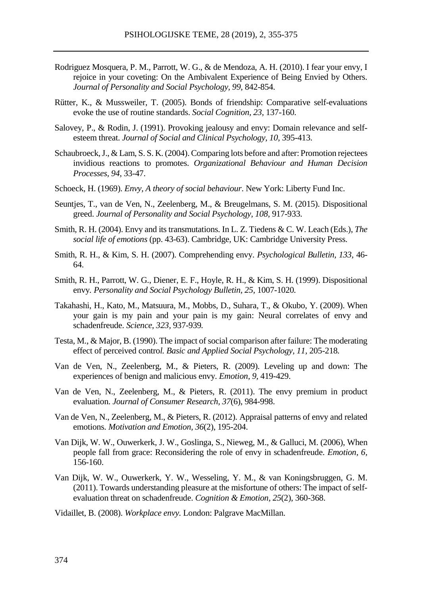- Rodriguez Mosquera, P. M., Parrott, W. G., & de Mendoza, A. H. (2010). I fear your envy, I rejoice in your coveting: On the Ambivalent Experience of Being Envied by Others. *Journal of Personality and Social Psychology, 99,* 842-854.
- Rütter, K., & Mussweiler, T. (2005). Bonds of friendship: Comparative self-evaluations evoke the use of routine standards. *Social Cognition, 23,* 137-160.
- Salovey, P., & Rodin, J. (1991). Provoking jealousy and envy: Domain relevance and selfesteem threat. *Journal of Social and Clinical Psychology, 10,* 395-413.
- Schaubroeck, J., & Lam, S. S. K. (2004). Comparing lots before and after: Promotion rejectees invidious reactions to promotes. *Organizational Behaviour and Human Decision Processes, 94,* 33-47.
- Schoeck, H. (1969). *Envy, A theory of social behaviour*. New York: Liberty Fund Inc.
- Seuntjes, T., van de Ven, N., Zeelenberg, M., & Breugelmans, S. M. (2015). Dispositional greed. *Journal of Personality and Social Psychology, 108,* 917-933.
- Smith, R. H. (2004). Envy and its transmutations. In L. Z. Tiedens & C. W. Leach (Eds.), *The social life of emotions* (pp. 43-63). Cambridge, UK: Cambridge University Press.
- Smith, R. H., & Kim, S. H. (2007). Comprehending envy. *Psychological Bulletin, 133,* 46- 64.
- Smith, R. H., Parrott, W. G., Diener, E. F., Hoyle, R. H., & Kim, S. H. (1999). Dispositional envy*. Personality and Social Psychology Bulletin, 25,* 1007-1020*.*
- Takahashi, H., Kato, M., Matsuura, M., Mobbs, D., Suhara, T., & Okubo, Y. (2009). When your gain is my pain and your pain is my gain: Neural correlates of envy and schadenfreude. *Science, 323,* 937-939*.*
- Testa, M., & Major, B. (1990). The impact of social comparison after failure: The moderating effect of perceived contro*l. Basic and Applied Social Psychology, 11,* 205-218*.*
- Van de Ven, N., Zeelenberg, M., & Pieters, R. (2009). Leveling up and down: The experiences of benign and malicious envy. *Emotion, 9,* 419-429.
- Van de Ven, N., Zeelenberg, M., & Pieters, R. (2011). The envy premium in product evaluation. *Journal of Consumer Research, 37*(6), 984-998.
- Van de Ven, N., Zeelenberg, M., & Pieters, R. (2012). Appraisal patterns of envy and related emotions. *Motivation and Emotion, 36*(2), 195-204.
- Van Dijk, W. W., Ouwerkerk, J. W., Goslinga, S., Nieweg, M., & Galluci, M. (2006), When people fall from grace: Reconsidering the role of envy in schadenfreude. *Emotion, 6,*  156-160.
- Van Dijk, W. W., Ouwerkerk, Y. W., Wesseling, Y. M., & van Koningsbruggen, G. M. (2011). Towards understanding pleasure at the misfortune of others: The impact of selfevaluation threat on schadenfreude. *Cognition & Emotion, 25*(2), 360-368.
- Vidaillet, B. (2008). *Workplace envy.* London: Palgrave MacMillan.